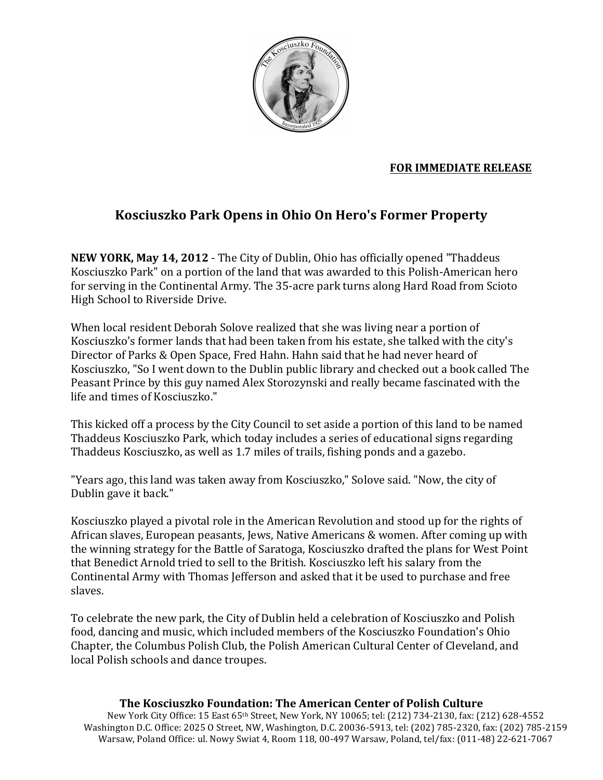

## **FOR IMMEDIATE RELEASE**

## Kosciuszko Park Opens in Ohio On Hero's Former Property

**NEW YORK, May 14, 2012** - The City of Dublin, Ohio has officially opened "Thaddeus" Kosciuszko Park" on a portion of the land that was awarded to this Polish-American hero for serving in the Continental Army. The 35-acre park turns along Hard Road from Scioto High School to Riverside Drive.

When local resident Deborah Solove realized that she was living near a portion of Kosciuszko's former lands that had been taken from his estate, she talked with the city's Director of Parks & Open Space, Fred Hahn. Hahn said that he had never heard of Kosciuszko. "So I went down to the Dublin public library and checked out a book called The Peasant Prince by this guy named Alex Storozynski and really became fascinated with the life and times of Kosciuszko."

This kicked off a process by the City Council to set aside a portion of this land to be named Thaddeus Kosciuszko Park, which today includes a series of educational signs regarding Thaddeus Kosciuszko, as well as 1.7 miles of trails, fishing ponds and a gazebo.

"Years ago, this land was taken away from Kosciuszko," Solove said. "Now, the city of Dublin gave it back."

Kosciuszko played a pivotal role in the American Revolution and stood up for the rights of African slaves, European peasants, Jews, Native Americans & women. After coming up with the winning strategy for the Battle of Saratoga, Kosciuszko drafted the plans for West Point that Benedict Arnold tried to sell to the British. Kosciuszko left his salary from the Continental Army with Thomas Jefferson and asked that it be used to purchase and free slaves.

To celebrate the new park, the City of Dublin held a celebration of Kosciuszko and Polish food, dancing and music, which included members of the Kosciuszko Foundation's Ohio Chapter, the Columbus Polish Club, the Polish American Cultural Center of Cleveland, and local Polish schools and dance troupes.

## The Kosciuszko Foundation: The American Center of Polish Culture

New York City Office: 15 East 65th Street, New York, NY 10065; tel: (212) 734-2130, fax: (212) 628-4552 Washington D.C. Office: 2025 O Street, NW, Washington, D.C. 20036-5913, tel: (202) 785-2320, fax: (202) 785-2159 Warsaw, Poland Office: ul. Nowy Swiat 4, Room 118, 00-497 Warsaw, Poland, tel/fax: (011-48) 22-621-7067